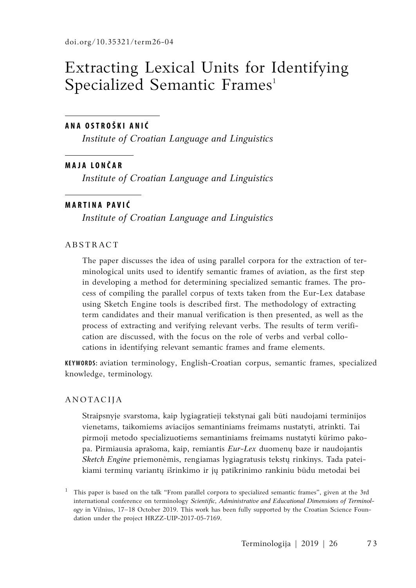# Extracting Lexical Units for Identifying Specialized Semantic Frames<sup>1</sup>

# **A n a Ostr o ški Anić**

*Institute of Croatian Language and Linguistics*

## **M a j a L o n č a r**

*Institute of Croatian Language and Linguistics*

## **M a rtin a P a vić**

*Institute of Croatian Language and Linguistics*

## **ABSTRACT**

The paper discusses the idea of using parallel corpora for the extraction of terminological units used to identify semantic frames of aviation, as the first step in developing a method for determining specialized semantic frames. The process of compiling the parallel corpus of texts taken from the Eur-Lex database using Sketch Engine tools is described first. The methodology of extracting term candidates and their manual verification is then presented, as well as the process of extracting and verifying relevant verbs. The results of term verification are discussed, with the focus on the role of verbs and verbal collocations in identifying relevant semantic frames and frame elements.

**Keywords:** aviation terminology, English-Croatian corpus, semantic frames, specialized knowledge, terminology.

#### Anotacija

Straipsnyje svarstoma, kaip lygiagratieji tekstynai gali būti naudojami terminijos vienetams, taikomiems aviacijos semantiniams freimams nustatyti, atrinkti. Tai pirmoji metodo specializuotiems semantiniams freimams nustatyti kūrimo pakopa. Pirmiausia aprašoma, kaip, remiantis *Eur-Lex* duomenų baze ir naudojantis *Sketch Engine* priemonėmis, rengiamas lygiagratusis tekstų rinkinys. Tada pateikiami terminų variantų išrinkimo ir jų patikrinimo rankiniu būdu metodai bei

<sup>1</sup> This paper is based on the talk "From parallel corpora to specialized semantic frames", given at the 3rd international conference on terminology *Scientific, Administrative and Educational Dimensions of Terminology* in Vilnius, 17–18 October 2019. This work has been fully supported by the Croatian Science Foundation under the project HRZZ-UIP-2017-05-7169.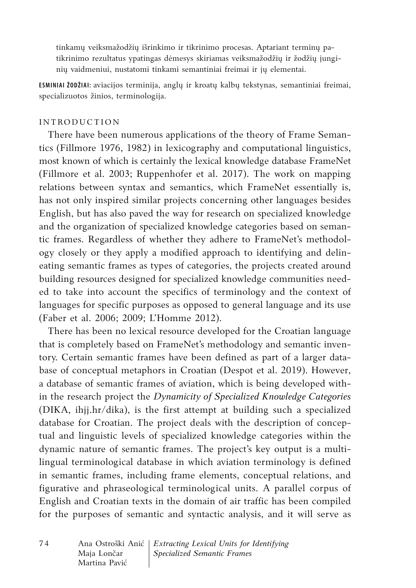tinkamų veiksmažodžių išrinkimo ir tikrinimo procesas. Aptariant terminų patikrinimo rezultatus ypatingas dėmesys skiriamas veiksmažodžių ir žodžių junginių vaidmeniui, nustatomi tinkami semantiniai freimai ir jų elementai.

**Esminiai žodžiai:** aviacijos terminija, anglų ir kroatų kalbų tekstynas, semantiniai freimai, specializuotos žinios, terminologija.

## **INTRODUCTION**

There have been numerous applications of the theory of Frame Semantics (Fillmore 1976, 1982) in lexicography and computational linguistics, most known of which is certainly the lexical knowledge database FrameNet (Fillmore et al. 2003; Ruppenhofer et al. 2017). The work on mapping relations between syntax and semantics, which FrameNet essentially is, has not only inspired similar projects concerning other languages besides English, but has also paved the way for research on specialized knowledge and the organization of specialized knowledge categories based on semantic frames. Regardless of whether they adhere to FrameNet's methodology closely or they apply a modified approach to identifying and delineating semantic frames as types of categories, the projects created around building resources designed for specialized knowledge communities needed to take into account the specifics of terminology and the context of languages for specific purposes as opposed to general language and its use (Faber et al. 2006; 2009; L'Homme 2012).

There has been no lexical resource developed for the Croatian language that is completely based on FrameNet's methodology and semantic inventory. Certain semantic frames have been defined as part of a larger database of conceptual metaphors in Croatian (Despot et al. 2019). However, a database of semantic frames of aviation, which is being developed within the research project the *Dynamicity of Specialized Knowledge Categories* (DIKA, ihjj.hr/dika), is the first attempt at building such a specialized database for Croatian. The project deals with the description of conceptual and linguistic levels of specialized knowledge categories within the dynamic nature of semantic frames. The project's key output is a multilingual terminological database in which aviation terminology is defined in semantic frames, including frame elements, conceptual relations, and figurative and phraseological terminological units. A parallel corpus of English and Croatian texts in the domain of air traffic has been compiled for the purposes of semantic and syntactic analysis, and it will serve as

7 4 Ana Ostroški Anić *Extracting Lexical Units for Identifying* Maja Lončar *Specialized Semantic Frames* Martina Pavić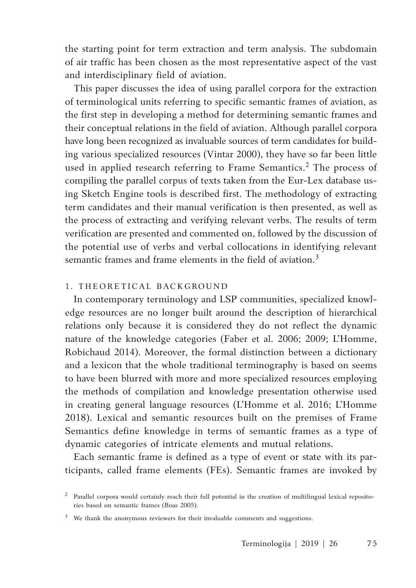the starting point for term extraction and term analysis. The subdomain of air traffic has been chosen as the most representative aspect of the vast and interdisciplinary field of aviation.

This paper discusses the idea of using parallel corpora for the extraction of terminological units referring to specific semantic frames of aviation, as the first step in developing a method for determining semantic frames and their conceptual relations in the field of aviation. Although parallel corpora have long been recognized as invaluable sources of term candidates for building various specialized resources (Vintar 2000), they have so far been little used in applied research referring to Frame Semantics.<sup>2</sup> The process of compiling the parallel corpus of texts taken from the Eur-Lex database using Sketch Engine tools is described first. The methodology of extracting term candidates and their manual verification is then presented, as well as the process of extracting and verifying relevant verbs. The results of term verification are presented and commented on, followed by the discussion of the potential use of verbs and verbal collocations in identifying relevant semantic frames and frame elements in the field of aviation.<sup>3</sup>

## 1. THEORETICAL BACKGROUND

In contemporary terminology and LSP communities, specialized knowledge resources are no longer built around the description of hierarchical relations only because it is considered they do not reflect the dynamic nature of the knowledge categories (Faber et al. 2006; 2009; L'Homme, Robichaud 2014). Moreover, the formal distinction between a dictionary and a lexicon that the whole traditional terminography is based on seems to have been blurred with more and more specialized resources employing the methods of compilation and knowledge presentation otherwise used in creating general language resources (L'Homme et al. 2016; L'Homme 2018). Lexical and semantic resources built on the premises of Frame Semantics define knowledge in terms of semantic frames as a type of dynamic categories of intricate elements and mutual relations.

Each semantic frame is defined as a type of event or state with its participants, called frame elements (FEs). Semantic frames are invoked by

<sup>2</sup> Parallel corpora would certainly reach their full potential in the creation of multilingual lexical repositories based on semantic frames (Boas 2005).

<sup>&</sup>lt;sup>3</sup> We thank the anonymous reviewers for their invaluable comments and suggestions.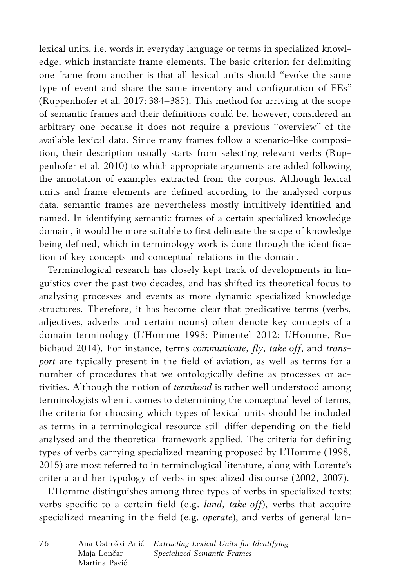lexical units, i.e. words in everyday language or terms in specialized knowledge, which instantiate frame elements. The basic criterion for delimiting one frame from another is that all lexical units should "evoke the same type of event and share the same inventory and configuration of FEs" (Ruppenhofer et al. 2017: 384–385). This method for arriving at the scope of semantic frames and their definitions could be, however, considered an arbitrary one because it does not require a previous "overview" of the available lexical data. Since many frames follow a scenario-like composition, their description usually starts from selecting relevant verbs (Ruppenhofer et al. 2010) to which appropriate arguments are added following the annotation of examples extracted from the corpus. Although lexical units and frame elements are defined according to the analysed corpus data, semantic frames are nevertheless mostly intuitively identified and named. In identifying semantic frames of a certain specialized knowledge domain, it would be more suitable to first delineate the scope of knowledge being defined, which in terminology work is done through the identification of key concepts and conceptual relations in the domain.

Terminological research has closely kept track of developments in linguistics over the past two decades, and has shifted its theoretical focus to analysing processes and events as more dynamic specialized knowledge structures. Therefore, it has become clear that predicative terms (verbs, adjectives, adverbs and certain nouns) often denote key concepts of a domain terminology (L'Homme 1998; Pimentel 2012; L'Homme, Robichaud 2014). For instance, terms *communicate*, *fly*, *take off*, and *transport* are typically present in the field of aviation, as well as terms for a number of procedures that we ontologically define as processes or activities. Although the notion of *termhood* is rather well understood among terminologists when it comes to determining the conceptual level of terms, the criteria for choosing which types of lexical units should be included as terms in a terminological resource still differ depending on the field analysed and the theoretical framework applied. The criteria for defining types of verbs carrying specialized meaning proposed by L'Homme (1998, 2015) are most referred to in terminological literature, along with Lorente's criteria and her typology of verbs in specialized discourse (2002, 2007).

L'Homme distinguishes among three types of verbs in specialized texts: verbs specific to a certain field (e.g. *land*, *take off*), verbs that acquire specialized meaning in the field (e.g. *operate*), and verbs of general lan-

| 76 |               | Ana Ostroški Anić   Extracting Lexical Units for Identifying |
|----|---------------|--------------------------------------------------------------|
|    | Maja Lončar   | Specialized Semantic Frames                                  |
|    | Martina Pavić |                                                              |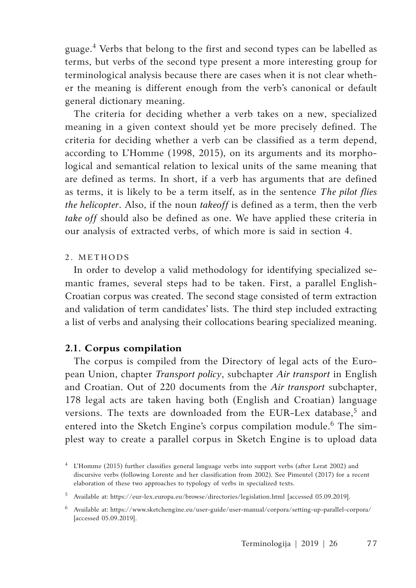guage.<sup>4</sup> Verbs that belong to the first and second types can be labelled as terms, but verbs of the second type present a more interesting group for terminological analysis because there are cases when it is not clear whether the meaning is different enough from the verb's canonical or default general dictionary meaning.

The criteria for deciding whether a verb takes on a new, specialized meaning in a given context should yet be more precisely defined. The criteria for deciding whether a verb can be classified as a term depend, according to L'Homme (1998, 2015), on its arguments and its morphological and semantical relation to lexical units of the same meaning that are defined as terms. In short, if a verb has arguments that are defined as terms, it is likely to be a term itself, as in the sentence *The pilot flies the helicopter*. Also, if the noun *takeoff* is defined as a term, then the verb *take off* should also be defined as one. We have applied these criteria in our analysis of extracted verbs, of which more is said in section 4.

# 2. METHOD S

In order to develop a valid methodology for identifying specialized semantic frames, several steps had to be taken. First, a parallel English-Croatian corpus was created. The second stage consisted of term extraction and validation of term candidates' lists. The third step included extracting a list of verbs and analysing their collocations bearing specialized meaning.

# **2.1. Corpus compilation**

The corpus is compiled from the Directory of legal acts of the European Union, chapter *Transport policy*, subchapter *Air transport* in English and Croatian. Out of 220 documents from the *Air transport* subchapter, 178 legal acts are taken having both (English and Croatian) language versions. The texts are downloaded from the EUR-Lex database,<sup>5</sup> and entered into the Sketch Engine's corpus compilation module.<sup>6</sup> The simplest way to create a parallel corpus in Sketch Engine is to upload data

<sup>4</sup> L'Homme (2015) further classifies general language verbs into support verbs (after Lerat 2002) and discursive verbs (following Lorente and her classification from 2002). See Pimentel (2017) for a recent elaboration of these two approaches to typology of verbs in specialized texts.

<sup>5</sup> Available at: https://eur-lex.europa.eu/browse/directories/legislation.html [accessed 05.09.2019].

 $^6$  Available at: https://www.sketchengine.eu/user-guide/user-manual/corpora/setting-up-parallel-corpora/ [accessed 05.09.2019].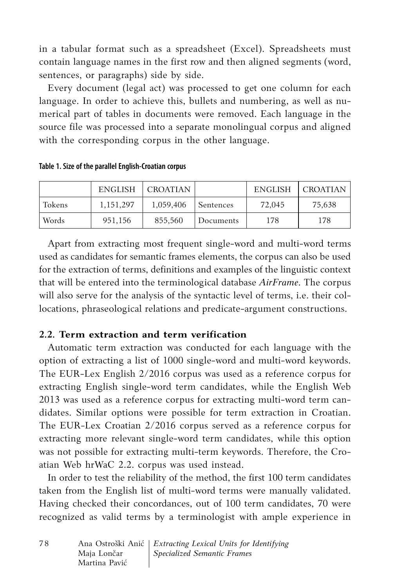in a tabular format such as a spreadsheet (Excel). Spreadsheets must contain language names in the first row and then aligned segments (word, sentences, or paragraphs) side by side.

Every document (legal act) was processed to get one column for each language. In order to achieve this, bullets and numbering, as well as numerical part of tables in documents were removed. Each language in the source file was processed into a separate monolingual corpus and aligned with the corresponding corpus in the other language.

|        | ENGLISH     | I CROATIAN |           | ENGLISH | I CROATIAN I |
|--------|-------------|------------|-----------|---------|--------------|
| Tokens | 1, 151, 297 | 1,059,406  | Sentences | 72,045  | 75,638       |
| Words  | 951,156     | 855.560    | Documents | 178     | 178          |

**Table 1. Size of the parallel English-Croatian corpus**

Apart from extracting most frequent single-word and multi-word terms used as candidates for semantic frames elements, the corpus can also be used for the extraction of terms, definitions and examples of the linguistic context that will be entered into the terminological database *AirFrame*. The corpus will also serve for the analysis of the syntactic level of terms, i.e. their collocations, phraseological relations and predicate-argument constructions.

# **2.2. Term extraction and term verification**

Automatic term extraction was conducted for each language with the option of extracting a list of 1000 single-word and multi-word keywords. The EUR-Lex English 2/2016 corpus was used as a reference corpus for extracting English single-word term candidates, while the English Web 2013 was used as a reference corpus for extracting multi-word term candidates. Similar options were possible for term extraction in Croatian. The EUR-Lex Croatian 2/2016 corpus served as a reference corpus for extracting more relevant single-word term candidates, while this option was not possible for extracting multi-term keywords. Therefore, the Croatian Web hrWaC 2.2. corpus was used instead.

In order to test the reliability of the method, the first 100 term candidates taken from the English list of multi-word terms were manually validated. Having checked their concordances, out of 100 term candidates, 70 were recognized as valid terms by a terminologist with ample experience in

| 78 |               | Ana Ostroški Anić   Extracting Lexical Units for Identifying |
|----|---------------|--------------------------------------------------------------|
|    | Maja Lončar   | Specialized Semantic Frames                                  |
|    | Martina Pavić |                                                              |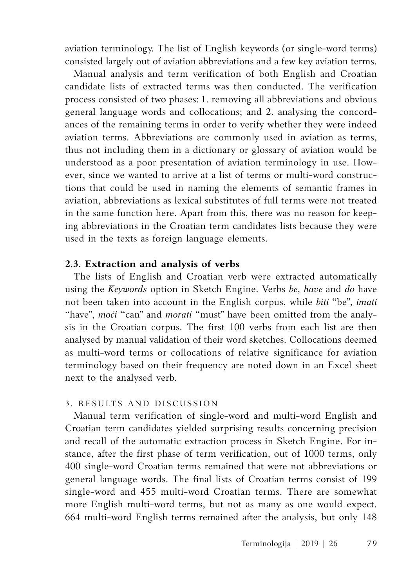aviation terminology. The list of English keywords (or single-word terms) consisted largely out of aviation abbreviations and a few key aviation terms.

Manual analysis and term verification of both English and Croatian candidate lists of extracted terms was then conducted. The verification process consisted of two phases: 1. removing all abbreviations and obvious general language words and collocations; and 2. analysing the concordances of the remaining terms in order to verify whether they were indeed aviation terms. Abbreviations are commonly used in aviation as terms, thus not including them in a dictionary or glossary of aviation would be understood as a poor presentation of aviation terminology in use. However, since we wanted to arrive at a list of terms or multi-word constructions that could be used in naming the elements of semantic frames in aviation, abbreviations as lexical substitutes of full terms were not treated in the same function here. Apart from this, there was no reason for keeping abbreviations in the Croatian term candidates lists because they were used in the texts as foreign language elements.

## **2.3. Extraction and analysis of verbs**

The lists of English and Croatian verb were extracted automatically using the *Keywords* option in Sketch Engine. Verbs *be*, *have* and *do* have not been taken into account in the English corpus, while *biti* "beˮ, *imati* "have", *moći* "can" and *morati* "must" have been omitted from the analysis in the Croatian corpus. The first 100 verbs from each list are then analysed by manual validation of their word sketches. Collocations deemed as multi-word terms or collocations of relative significance for aviation terminology based on their frequency are noted down in an Excel sheet next to the analysed verb.

# 3. RESULTS AND DISCUSSION

Manual term verification of single-word and multi-word English and Croatian term candidates yielded surprising results concerning precision and recall of the automatic extraction process in Sketch Engine. For instance, after the first phase of term verification, out of 1000 terms, only 400 single-word Croatian terms remained that were not abbreviations or general language words. The final lists of Croatian terms consist of 199 single-word and 455 multi-word Croatian terms. There are somewhat more English multi-word terms, but not as many as one would expect. 664 multi-word English terms remained after the analysis, but only 148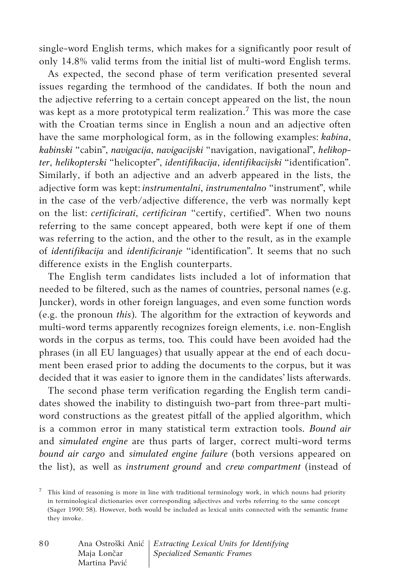single-word English terms, which makes for a significantly poor result of only 14.8% valid terms from the initial list of multi-word English terms.

As expected, the second phase of term verification presented several issues regarding the termhood of the candidates. If both the noun and the adjective referring to a certain concept appeared on the list, the noun was kept as a more prototypical term realization.<sup>7</sup> This was more the case with the Croatian terms since in English a noun and an adjective often have the same morphological form, as in the following examples: *kabina*, *kabinski* "cabinˮ, *navigacija*, *navigacijski* "navigation, navigationalˮ, *helikopter*, *helikopterski* "helicopterˮ, *identifikacija*, *identifikacijski* "identificationˮ. Similarly, if both an adjective and an adverb appeared in the lists, the adjective form was kept: *instrumentalni*, *instrumentalno* "instrumentˮ, while in the case of the verb/adjective difference, the verb was normally kept on the list: *certificirati*, *certificiran* "certify, certifiedˮ. When two nouns referring to the same concept appeared, both were kept if one of them was referring to the action, and the other to the result, as in the example of *identifikacija* and *identificiranje* "identification". It seems that no such difference exists in the English counterparts.

The English term candidates lists included a lot of information that needed to be filtered, such as the names of countries, personal names (e.g. Juncker), words in other foreign languages, and even some function words (e.g. the pronoun *this*). The algorithm for the extraction of keywords and multi-word terms apparently recognizes foreign elements, i.e. non-English words in the corpus as terms, too. This could have been avoided had the phrases (in all EU languages) that usually appear at the end of each document been erased prior to adding the documents to the corpus, but it was decided that it was easier to ignore them in the candidates' lists afterwards.

The second phase term verification regarding the English term candidates showed the inability to distinguish two-part from three-part multiword constructions as the greatest pitfall of the applied algorithm, which is a common error in many statistical term extraction tools. *Bound air* and *simulated engine* are thus parts of larger, correct multi-word terms *bound air cargo* and *simulated engine failure* (both versions appeared on the list), as well as *instrument ground* and *crew compartment* (instead of

 $7$  This kind of reasoning is more in line with traditional terminology work, in which nouns had priority in terminological dictionaries over corresponding adjectives and verbs referring to the same concept (Sager 1990: 58). However, both would be included as lexical units connected with the semantic frame they invoke.

| 80 |               | Ana Ostroški Anić   Extracting Lexical Units for Identifying |
|----|---------------|--------------------------------------------------------------|
|    | Maja Lončar   | <i>Specialized Semantic Frames</i>                           |
|    | Martina Pavić |                                                              |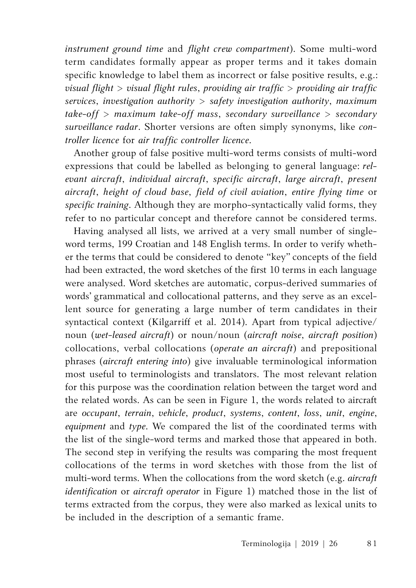*instrument ground time* and *flight crew compartment*). Some multi-word term candidates formally appear as proper terms and it takes domain specific knowledge to label them as incorrect or false positive results, e.g.: *visual flight* > *visual flight rules*, *providing air traffic* > *providing air traffic services*, *investigation authority* > *safety investigation authority*, *maximum take-off* > *maximum take-off mass*, *secondary surveillance* > *secondary surveillance radar*. Shorter versions are often simply synonyms, like *controller licence* for *air traffic controller licence*.

Another group of false positive multi-word terms consists of multi-word expressions that could be labelled as belonging to general language: *relevant aircraft*, *individual aircraft*, *specific aircraft*, *large aircraft*, *present aircraft*, *height of cloud base*, *field of civil aviation*, *entire flying time* or *specific training*. Although they are morpho-syntactically valid forms, they refer to no particular concept and therefore cannot be considered terms.

Having analysed all lists, we arrived at a very small number of singleword terms, 199 Croatian and 148 English terms. In order to verify whether the terms that could be considered to denote "key" concepts of the field had been extracted, the word sketches of the first 10 terms in each language were analysed. Word sketches are automatic, corpus-derived summaries of words' grammatical and collocational patterns, and they serve as an excellent source for generating a large number of term candidates in their syntactical context (Kilgarriff et al. 2014). Apart from typical adjective/ noun (*wet-leased aircraft*) or noun/noun (*aircraft noise*, *aircraft position*) collocations, verbal collocations (*operate an aircraft*) and prepositional phrases (*aircraft entering into*) give invaluable terminological information most useful to terminologists and translators. The most relevant relation for this purpose was the coordination relation between the target word and the related words. As can be seen in Figure 1, the words related to aircraft are *occupant*, *terrain*, *vehicle*, *product*, *systems*, *content*, *loss*, *unit*, *engine*, *equipment* and *type*. We compared the list of the coordinated terms with the list of the single-word terms and marked those that appeared in both. The second step in verifying the results was comparing the most frequent collocations of the terms in word sketches with those from the list of multi-word terms. When the collocations from the word sketch (e.g. *aircraft identification* or *aircraft operator* in Figure 1) matched those in the list of terms extracted from the corpus, they were also marked as lexical units to be included in the description of a semantic frame.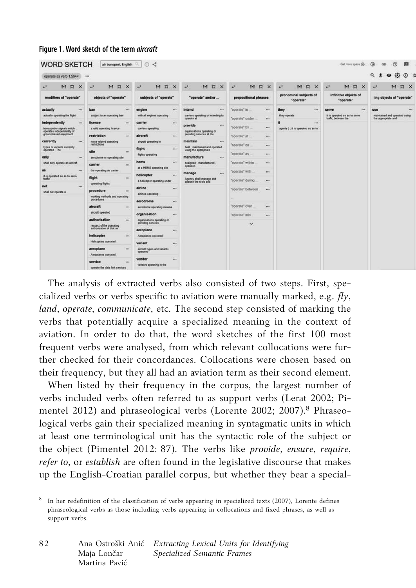#### **Figure 1. Word sketch of the term** *aircraft*

| operate as verb 1,564x                                 |                                                                                        |                                                 |                                                         |                                                                   |                                     |                                                      | $\bullet$ $\bullet$ $\circ$ $\circ$<br>$\Omega$<br>$\ddot{}$ |
|--------------------------------------------------------|----------------------------------------------------------------------------------------|-------------------------------------------------|---------------------------------------------------------|-------------------------------------------------------------------|-------------------------------------|------------------------------------------------------|--------------------------------------------------------------|
| $\Box$<br>64<br>÷<br>$\times$                          | $H$ $\alpha$<br>ø<br>$\times$                                                          | ÷<br>$\alpha$<br>$\ddot{ }$<br>$\times$         | $\Omega$<br>۰<br>$\ddot{ }$<br>$\times$                 | $\mathbb{R}$<br>$\alpha$<br>$\ddot{ }$<br>$\overline{\mathbf{x}}$ | ÷<br>64<br>$\mathbb{Z}$<br>$\times$ | $\overline{a}$<br>B.<br>$\alpha$<br>$\times$         | $\alpha$<br>r,<br>$\mathbf{H}$<br>$\mathsf{x}$               |
| modifiers of "operate"                                 | objects of "operate"                                                                   | subjects of "operate"                           | "operate" and/or                                        | prepositional phrases                                             | pronominal subjects of<br>"operate" | infinitive objects of<br>"operate"                   | -ing objects of "operate"                                    |
| actually<br>$+ + +$                                    | ban<br>                                                                                | engine<br>                                      | intend<br>                                              | "operate" in<br>                                                  | they<br>                            | <br>serve                                            | use<br><b>ARE</b>                                            |
| actually operating the fight                           | subject to an operating ban                                                            | with all engines operating                      | carriers operating or intending to<br>operate at        | "operate" under<br>1.68                                           | they operate                        | it is operated so as to serve<br>traffic between the | maintained and operated using<br>the appropriate and         |
| independently<br>                                      | licence<br>                                                                            | carrier<br>1448                                 | provide<br>$\cdots$                                     |                                                                   |                                     |                                                      |                                                              |
| transponder signals which<br>operates independently of | a valid operating licence                                                              | carriers operating                              | organisations operating or                              | "operate" by<br>$***$                                             | agents ) ; it is operated so as to  |                                                      |                                                              |
| ground-based equipment                                 | restriction<br>$\cdots$                                                                | aircraft<br>$***$                               | providing senices at the                                | "operate" at<br>                                                  |                                     |                                                      |                                                              |
| currently<br>$\cdots$                                  | noise related operating                                                                | aircraft operating in                           | maintain<br>$\cdots$                                    |                                                                   |                                     |                                                      |                                                              |
| types or variants currently<br>coerated The            | restrictions                                                                           | flight<br>                                      | built, maintained and operated<br>using the appropriate | "operate" on<br>$***$                                             |                                     |                                                      |                                                              |
|                                                        | site<br>$\cdots$                                                                       | <b>flights operating</b>                        | "operate" as<br>                                        |                                                                   |                                     |                                                      |                                                              |
| only<br>$\cdots$                                       | aerodrome or operating site                                                            | hems<br>                                        | manufacture<br>$***$<br>designed manufactured           | "operate" within<br>$\cdots$                                      |                                     |                                                      |                                                              |
| shall only operate an aircraft                         | carrier<br>                                                                            | at a HEMS operating site                        | operated                                                |                                                                   |                                     |                                                      |                                                              |
| as<br>$\leftrightarrow$                                | the operating air camer                                                                |                                                 | manage<br>                                              | "operate" with<br>                                                |                                     |                                                      |                                                              |
| it is operated so as to serve<br>traffic               | flight<br>$***$                                                                        | helicopter<br><br>a helicopter operating under  | Agency shall manage and                                 | "operate" during<br>                                              |                                     |                                                      |                                                              |
| not<br>$***$                                           | operating flights                                                                      |                                                 | operate the tools and                                   |                                                                   |                                     |                                                      |                                                              |
| shall not operate a                                    | procedure<br>$\cdots$                                                                  | airline<br>7888                                 |                                                         | "operate" between<br>                                             |                                     |                                                      |                                                              |
|                                                        | airlines operating<br>working methods and operating<br>ргосефитев<br>aerodrome<br>$-1$ |                                                 |                                                         |                                                                   |                                     |                                                      |                                                              |
|                                                        |                                                                                        |                                                 |                                                         |                                                                   |                                     |                                                      |                                                              |
|                                                        | aircraft<br>$\cdots$                                                                   | aerodrome operating minima                      |                                                         | "coerate" over<br>$***$                                           |                                     |                                                      |                                                              |
|                                                        | aircraft operated                                                                      | organisation<br>$\cdots$                        |                                                         | "operate" into<br>$***$                                           |                                     |                                                      |                                                              |
|                                                        | authorisation<br>                                                                      | organisations operating or<br>providing senices |                                                         | $\checkmark$                                                      |                                     |                                                      |                                                              |
|                                                        | respect of the operating<br>authorization of that air                                  |                                                 |                                                         |                                                                   |                                     |                                                      |                                                              |
|                                                        | helicopter<br><b>War</b>                                                               | aeroplane<br>$\cdots$<br>Aeroplanes operated    |                                                         |                                                                   |                                     |                                                      |                                                              |
|                                                        | Helicopters operated                                                                   |                                                 |                                                         |                                                                   |                                     |                                                      |                                                              |
|                                                        |                                                                                        | variant<br>                                     |                                                         |                                                                   |                                     |                                                      |                                                              |
|                                                        | aeroplane<br><b>ALC</b>                                                                | aircraft types and variants<br>operated         |                                                         |                                                                   |                                     |                                                      |                                                              |
|                                                        | Aeroplanes operated<br>vendor<br>                                                      |                                                 |                                                         |                                                                   |                                     |                                                      |                                                              |
|                                                        | service<br>$***$                                                                       | vendors operating in the                        |                                                         |                                                                   |                                     |                                                      |                                                              |

The analysis of extracted verbs also consisted of two steps. First, specialized verbs or verbs specific to aviation were manually marked, e.g. *fly*, *land*, *operate*, *communicate*, etc. The second step consisted of marking the verbs that potentially acquire a specialized meaning in the context of aviation. In order to do that, the word sketches of the first 100 most frequent verbs were analysed, from which relevant collocations were further checked for their concordances. Collocations were chosen based on their frequency, but they all had an aviation term as their second element.

When listed by their frequency in the corpus, the largest number of verbs included verbs often referred to as support verbs (Lerat 2002; Pimentel 2012) and phraseological verbs (Lorente 2002; 2007).<sup>8</sup> Phraseological verbs gain their specialized meaning in syntagmatic units in which at least one terminological unit has the syntactic role of the subject or the object (Pimentel 2012: 87). The verbs like *provide*, *ensure*, *require*, *refer to*, or *establish* are often found in the legislative discourse that makes up the English-Croatian parallel corpus, but whether they bear a special-

<sup>&</sup>lt;sup>8</sup> In her redefinition of the classification of verbs appearing in specialized texts (2007), Lorente defines phraseological verbs as those including verbs appearing in collocations and fixed phrases, as well as support verbs.

| 82 |               | Ana Ostroški Anić   Extracting Lexical Units for Identifying |
|----|---------------|--------------------------------------------------------------|
|    | Maja Lončar   | <i>Specialized Semantic Frames</i>                           |
|    | Martina Pavić |                                                              |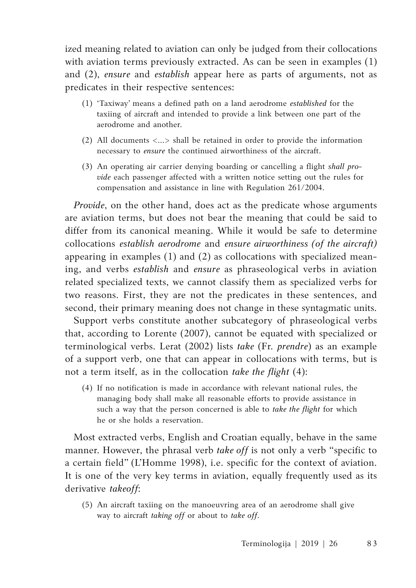ized meaning related to aviation can only be judged from their collocations with aviation terms previously extracted. As can be seen in examples (1) and (2), *ensure* and *establish* appear here as parts of arguments, not as predicates in their respective sentences:

- (1) 'Taxiway' means a defined path on a land aerodrome *established* for the taxiing of aircraft and intended to provide a link between one part of the aerodrome and another.
- (2) All documents <…> shall be retained in order to provide the information necessary to *ensure* the continued airworthiness of the aircraft.
- (3) An operating air carrier denying boarding or cancelling a flight *shall provide* each passenger affected with a written notice setting out the rules for compensation and assistance in line with Regulation 261/2004.

*Provide*, on the other hand, does act as the predicate whose arguments are aviation terms, but does not bear the meaning that could be said to differ from its canonical meaning. While it would be safe to determine collocations *establish aerodrome* and *ensure airworthiness (of the aircraft)* appearing in examples (1) and (2) as collocations with specialized meaning, and verbs *establish* and *ensure* as phraseological verbs in aviation related specialized texts, we cannot classify them as specialized verbs for two reasons. First, they are not the predicates in these sentences, and second, their primary meaning does not change in these syntagmatic units.

Support verbs constitute another subcategory of phraseological verbs that, according to Lorente (2007), cannot be equated with specialized or terminological verbs. Lerat (2002) lists *take* (Fr. *prendre*) as an example of a support verb, one that can appear in collocations with terms, but is not a term itself, as in the collocation *take the flight* (4):

(4) If no notification is made in accordance with relevant national rules, the managing body shall make all reasonable efforts to provide assistance in such a way that the person concerned is able to *take the flight* for which he or she holds a reservation.

Most extracted verbs, English and Croatian equally, behave in the same manner. However, the phrasal verb *take off* is not only a verb "specific to a certain field" (L'Homme 1998), i.e. specific for the context of aviation. It is one of the very key terms in aviation, equally frequently used as its derivative *takeoff*:

(5) An aircraft taxiing on the manoeuvring area of an aerodrome shall give way to aircraft *taking off* or about to *take off*.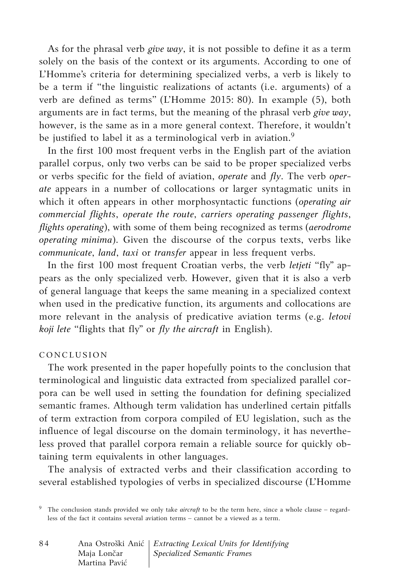As for the phrasal verb *give way*, it is not possible to define it as a term solely on the basis of the context or its arguments. According to one of L'Homme's criteria for determining specialized verbs, a verb is likely to be a term if "the linguistic realizations of actants (i.e. arguments) of a verb are defined as terms" (L'Homme 2015: 80). In example (5), both arguments are in fact terms, but the meaning of the phrasal verb *give way*, however, is the same as in a more general context. Therefore, it wouldn't be justified to label it as a terminological verb in aviation.<sup>9</sup>

In the first 100 most frequent verbs in the English part of the aviation parallel corpus, only two verbs can be said to be proper specialized verbs or verbs specific for the field of aviation, *operate* and *fly*. The verb *operate* appears in a number of collocations or larger syntagmatic units in which it often appears in other morphosyntactic functions (*operating air commercial flights*, *operate the route*, *carriers operating passenger flights*, *flights operating*), with some of them being recognized as terms (*aerodrome operating minima*). Given the discourse of the corpus texts, verbs like *communicate*, *land*, *taxi* or *transfer* appear in less frequent verbs.

In the first 100 most frequent Croatian verbs, the verb *letjeti* "fly" appears as the only specialized verb. However, given that it is also a verb of general language that keeps the same meaning in a specialized context when used in the predicative function, its arguments and collocations are more relevant in the analysis of predicative aviation terms (e.g. *letovi koji lete* "flights that fly" or *fly the aircraft* in English).

#### CONCLUSION

The work presented in the paper hopefully points to the conclusion that terminological and linguistic data extracted from specialized parallel corpora can be well used in setting the foundation for defining specialized semantic frames. Although term validation has underlined certain pitfalls of term extraction from corpora compiled of EU legislation, such as the influence of legal discourse on the domain terminology, it has nevertheless proved that parallel corpora remain a reliable source for quickly obtaining term equivalents in other languages.

The analysis of extracted verbs and their classification according to several established typologies of verbs in specialized discourse (L'Homme

<sup>9</sup> The conclusion stands provided we only take *aircraft* to be the term here, since a whole clause – regardless of the fact it contains several aviation terms – cannot be a viewed as a term.

| 84 |               | Ana Ostroški Anić   Extracting Lexical Units for Identifying |
|----|---------------|--------------------------------------------------------------|
|    | Maja Lončar   | <i>Specialized Semantic Frames</i>                           |
|    | Martina Pavić |                                                              |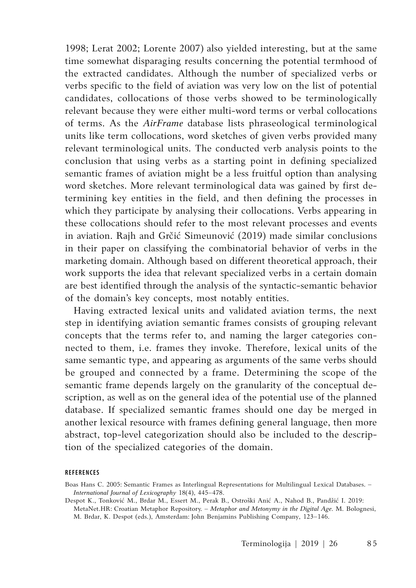1998; Lerat 2002; Lorente 2007) also yielded interesting, but at the same time somewhat disparaging results concerning the potential termhood of the extracted candidates. Although the number of specialized verbs or verbs specific to the field of aviation was very low on the list of potential candidates, collocations of those verbs showed to be terminologically relevant because they were either multi-word terms or verbal collocations of terms. As the *AirFrame* database lists phraseological terminological units like term collocations, word sketches of given verbs provided many relevant terminological units. The conducted verb analysis points to the conclusion that using verbs as a starting point in defining specialized semantic frames of aviation might be a less fruitful option than analysing word sketches. More relevant terminological data was gained by first determining key entities in the field, and then defining the processes in which they participate by analysing their collocations. Verbs appearing in these collocations should refer to the most relevant processes and events in aviation. Rajh and Grčić Simeunović (2019) made similar conclusions in their paper on classifying the combinatorial behavior of verbs in the marketing domain. Although based on different theoretical approach, their work supports the idea that relevant specialized verbs in a certain domain are best identified through the analysis of the syntactic-semantic behavior of the domain's key concepts, most notably entities.

Having extracted lexical units and validated aviation terms, the next step in identifying aviation semantic frames consists of grouping relevant concepts that the terms refer to, and naming the larger categories connected to them, i.e. frames they invoke. Therefore, lexical units of the same semantic type, and appearing as arguments of the same verbs should be grouped and connected by a frame. Determining the scope of the semantic frame depends largely on the granularity of the conceptual description, as well as on the general idea of the potential use of the planned database. If specialized semantic frames should one day be merged in another lexical resource with frames defining general language, then more abstract, top-level categorization should also be included to the description of the specialized categories of the domain.

#### **REFERENCES**

Boas Hans C. 2005: Semantic Frames as Interlingual Representations for Multilingual Lexical Databases. – *International Journal of Lexicography* 18(4), 445–478.

Despot K., Tonković M., Brdar M., Essert M., Perak B., Ostroški Anić A., Nahod B., Pandžić I. 2019: MetaNet.HR: Croatian Metaphor Repository. – *Metaphor and Metonymy in the Digital Age*. M. Bolognesi, M. Brdar, K. Despot (eds.), Amsterdam: John Benjamins Publishing Company, 123–146.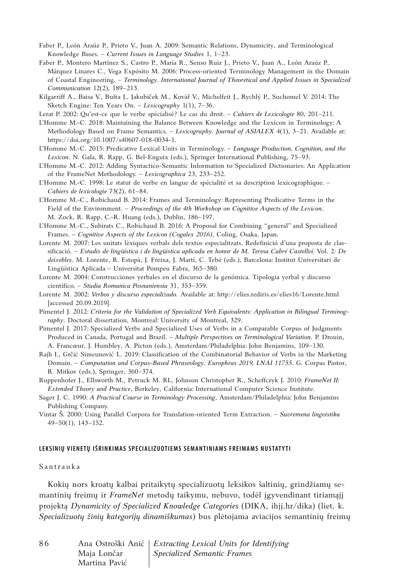- Faber P., León Araúz P., Prieto V., Juan A. 2009: Semantic Relations, Dynamicity, and Terminological Knowledge Bases. – *Current Issues in Language Studies* 1, 1−23.
- Faber P., Montero Martínez S., Castro P., María R., Senso Ruiz J., Prieto V., Juan A., León Araúz P., Márquez Linares C., Vega Expósito M. 2006: Process-oriented Terminology Management in the Domain of Coastal Engineering. – *Terminology. International Journal of Theoretical and Applied Issues in Specialized Communication* 12(2), 189−213.
- Kilgarriff A., Baisa V., Bušta J., Jakubíček M., Kovář V., Michelfeit J., Rychlý P., Suchomel V. 2014: The Sketch Engine: Ten Years On. – *Lexicography* 1(1), 7−36.
- Lerat P. 2002: Qu'est-ce que le verbe spécialisé? Le cas du droit. *Cahiers de Lexicologie* 80, 201–211.
- L'Homme M.-C. 2018: Maintaining the Balance Between Knowledge and the Lexicon in Terminology: A Methodology Based on Frame Semantics. – *Lexicography. Journal of ASIALEX* 4(1), 3–21. Available at: https://doi.org/10.1007/s40607-018-0034-1.
- L'Homme M.-C. 2015: Predicative Lexical Units in Terminology. *Language Production, Cognition, and the Lexicon*. N. Gala, R. Rapp, G. Bel-Enguix (eds.), Springer International Publishing, 75–93.
- L'Homme M.-C. 2012: Adding Syntactico-Semantic Information to Specialized Dictionaries: An Application of the FrameNet Methodology. – *Lexicographica* 23, 233–252.
- L'Homme M.-C. 1998: Le statut de verbe en langue de spécialité et sa description lexicographique. *Cahiers de lexicologie* 73(2), 61–84.
- L'Homme M.-C., Robichaud B. 2014: Frames and Terminology: Representing Predicative Terms in the Field of the Environment. – *Proceedings of the 4th Workshop on Cognitive Aspects of the Lexicon*. M. Zock, R. Rapp, C.-R. Huang (eds.), Dublin, 186–197.
- L'Homme M.-C., Subirats C., Robichaud B. 2016: A Proposal for Combining "general" and Specialized Frames. – *Cognitive Aspects of the Lexicon (Cogalex 2016)*, Coling, Osaka, Japan.
- Lorente M. 2007: Les unitats lèxiques verbals dels textos especialitzats. Redefinició d'una proposta de classificació. – *Estudis de lingüística i de lingüística aplicada en honor de M. Teresa Cabré Castellví. Vol. 2: De deixebles*. M. Lorente, R. Estopà, J. Freixa, J. Martí, C. Tebé (eds.), Barcelona: Institut Universitari de Lingüística Aplicada – Universitat Pompeu Fabra, 365–380.
- Lorente M. 2004: Construcciones yerbales en el discurso de la genómica. Tipologia yerbal y discurso cientifico. – *Studia Romanica Posnaniensia* 31, 353–359.
- Lorente M. 2002: *Verbos y discurso especializado*. Available at: http://elies.rediris.es/elies16/Lorente.html [accessed 20.09.2019].
- Pimentel J. 2012: *Criteria for the Validation of Specialized Verb Equivalents: Application in Bilingual Terminography*. Doctoral dissertation, Montreal: University of Montreal, 329.
- Pimentel J. 2017: Specialized Verbs and Specialized Uses of Verbs in a Comparable Corpus of Judgments Produced in Canada, Portugal and Brazil. – *Multiple Perspectives on Terminological Variation*. P. Drouin, A. Francœur, J. Humbley, A. Picton (eds.), Amsterdam/Philadelphia: John Benjamins, 109–130.
- Rajh I., Grčić Simeunović L. 2019: Classification of the Combinatorial Behavior of Verbs in the Marketing Domain. – *Computation and Corpus-Based Phraseology. Europhras 2019, LNAI 11755*. G. Corpas Pastor, R. Mitkov (eds.), Springer, 360–374.
- Ruppenhofer J., Ellsworth M., Petruck M. RL, Johnson Christopher R., Scheffczyk J. 2010: *FrameNet II: Extended Theory and Practice*, Berkeley, California: International Computer Science Institute.
- Sager J. C. 1990: *A Practical Course in Terminology Processing*, Amsterdam/Philadelphia: John Benjamins Publishing Company.
- Vintar Š. 2000: Using Parallel Corpora for Translation-oriented Term Extraction. *Suvremena lingvistika* 49–50(1), 143–152.

#### LEKSINIŲ VIENETŲ IŠRINKIMAS SPECIALIZUOTIEMS SEMANTINIAMS FREIMAMS NUSTATYTI

#### Santrauka

Kokių nors kroatų kalbai pritaikytų specializuotų leksikos šaltinių, grindžiamų semantinių freimų ir *FrameNet* metodų taikymu, nebuvo, todėl įgyvendinant tiriamąjį projektą *Dynamicity of Specialized Knowledge Categories* (DIKA, ihjj.hr/dika) (liet. k. *Specializuotų žinių kategorijų dinamiškumas*) bus plėtojama aviacijos semantinių freimų

| 86 |               | Ana Ostroški Anić   Extracting Lexical Units for Identifying |
|----|---------------|--------------------------------------------------------------|
|    | Maja Lončar   | Specialized Semantic Frames                                  |
|    | Martina Pavić |                                                              |